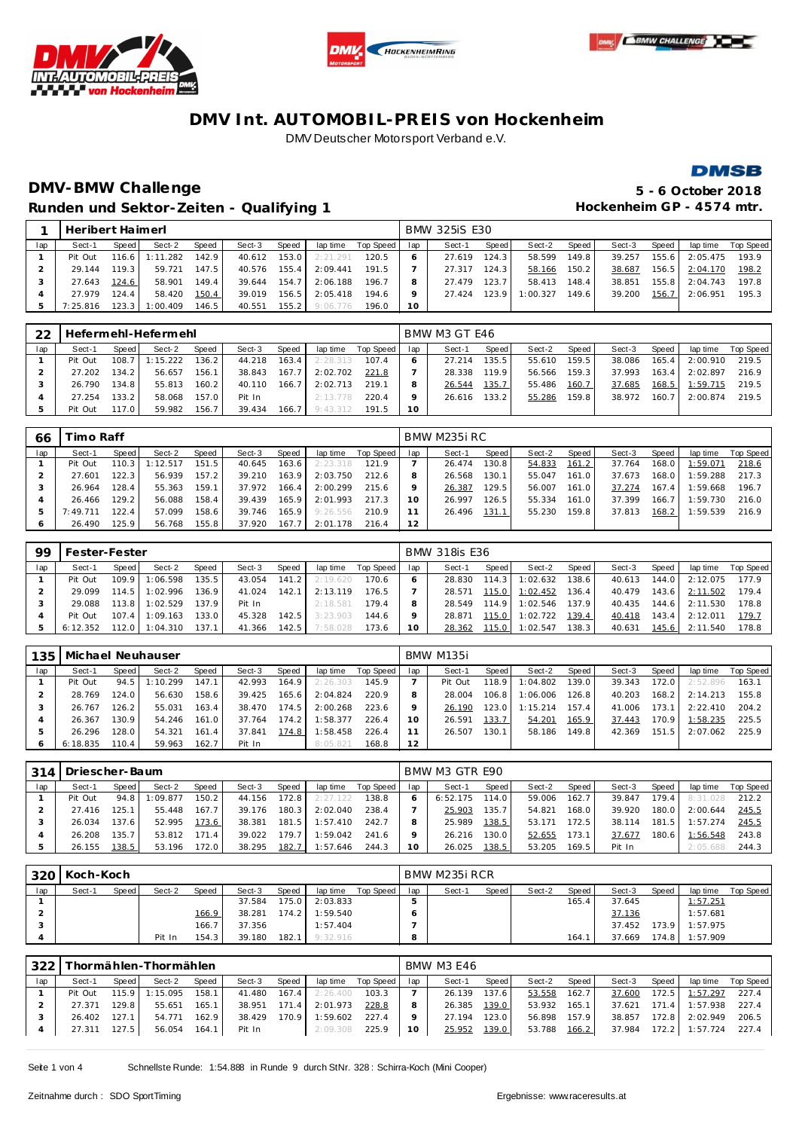







# **DMV-BMW Challenge 5 - 6 October 2018** Runden und Sektor-Zeiten - Qualifying 1 **and Sektor-Zeiten - Qualifying 1 Hockenheim GP** - 4574 mtr.

|     | Heribert Haimerl |       |                  |       |        |       |                  |                    |         | <b>BMW 325iS E30</b> |       |          |           |        |       |          |                    |
|-----|------------------|-------|------------------|-------|--------|-------|------------------|--------------------|---------|----------------------|-------|----------|-----------|--------|-------|----------|--------------------|
| lap | Sect-1           | Speed | Sect-2           | Speed | Sect-3 | Speed |                  | lap time Top Speed | lap     | Sect-1               | Speed | Sect-2   | Speed     | Sect-3 | Speed |          | lap time Top Speed |
|     | Pit Out          |       | 116.6 1:11.282   | 142.9 | 40.612 |       | $153.0$ 2:21.291 | 120.5              | 6       | 27.619               | 124.3 | 58.599   | 149.8     | 39.257 | 155.6 | 2:05.475 | 193.9              |
|     | 29.144           | 119.3 | 59.721           | 147.5 | 40.576 | 155.4 | 2:09.441         | 191.5              |         | 27.317               | 124.3 | 58.166   | $150.2$ J | 38.687 | 156.5 | 2:04.170 | 198.2              |
|     | 27.643           | 124.6 | 58.901           | 149.4 | 39.644 | 154.7 | 2:06.188         | 196.7              | 8       | 27.479               | 123.7 | 58.413   | 148.4     | 38.851 | 155.8 | 2:04.743 | 197.8              |
|     | 27.979           | 124.4 | 58.420           | 150.4 | 39.019 |       | 156.5 2:05.418   | 194.6              | $\circ$ | 27.424               | 123.9 | 1:00.327 | 149.6     | 39.200 | 156.7 | 2:06.951 | 195.3              |
|     | 7:25.816         |       | $123.3$ 1:00.409 | 146.5 | 40.551 |       | $155.2$ 9:06.776 | 196.0              | 10      |                      |       |          |           |        |       |          |                    |

| 22  |         |         | Hefermehl-Hefermehl |       |        |       |          |           |     | BMW M3 GT E46 |       |        |       |        |       |          |           |
|-----|---------|---------|---------------------|-------|--------|-------|----------|-----------|-----|---------------|-------|--------|-------|--------|-------|----------|-----------|
| lap | Sect-1  | Speed   | Sect-2              | Speed | Sect-3 | Speed | lap time | Top Speed | lap | Sect-1        | Speed | Sect-2 | Speed | Sect-3 | Speed | lap time | Top Speed |
|     | Pit Out | 108.7   | 1:15.222            | 136.2 | 44.218 | 163.4 | 2:28.313 | 107.4     |     | 27.214        | 135.5 | 55.610 | 159.5 | 38.086 | 165.4 | 2:00.910 | 219.5     |
|     | 27.202  | 134.21  | 56.657              | 156.1 | 38.843 | 167.7 | 2:02.702 | 221.8     |     | 28.338        | 119.9 | 56.566 | 159.3 | 37.993 | 163.4 | 2:02.897 | 216.9     |
|     | 26.790  | 134.8   | 55.813              | 160.2 | 40.110 | 166.7 | 2:02.713 | 219.1     |     | 26.544        | 135.7 | 55.486 | 160.7 | 37.685 | 168.5 | 1:59.715 | 219.5     |
|     | 27.254  | 133.2   | 58.068              | 157.0 | Pit In |       | 2:13.778 | 220.4     |     | 26.616        | 133.2 | 55.286 | 159.8 | 38.972 | 160.7 | 2:00.874 | 219.5     |
|     | Pit Out | 117.O I | 59.982              | 156.7 | 39.434 | 166.7 | 9:43.312 | 191.5     | 10  |               |       |        |       |        |       |          |           |

| 66  | imo Raff |       |        |       |        |       |           |           |     | BMW M235i RC |       |        |       |        |       |          |           |
|-----|----------|-------|--------|-------|--------|-------|-----------|-----------|-----|--------------|-------|--------|-------|--------|-------|----------|-----------|
| lap | Sect-1   | Speed | Sect-2 | Speed | Sect-3 | Speed | lap time  | Top Speed | lap | Sect-1       | Speed | Sect-2 | Speed | Sect-3 | Speed | lap time | Top Speed |
|     | Pit Out  | 110.3 | 12.517 | 151.5 | 40.645 | 163.6 | 2: 23.318 | 121.9     |     | 26.474       | 130.8 | 54.833 | 161.2 | 37.764 | 168.0 | 1:59.071 | 218.6     |
|     | 27.601   | 122.3 | 56.939 | 157.2 | 39.210 | 163.9 | 2:03.750  | 212.6     |     | 26.568       | 130.1 | 55.047 | 161.0 | 37.673 | 168.0 | 1:59.288 | 217.3     |
|     | 26.964   | 128.4 | 55.363 | 159.1 | 37.972 | 166.4 | 2:00.299  | 215.6     |     | 26.387       | 129.5 | 56.007 | 161.0 | 37.274 | 167.4 | 1:59.668 | 196.7     |
|     | 26.466   | 129.2 | 56.088 | 158.4 | 39.439 | 165.9 | 2:01.993  | 217.3     | 10  | 26.997       | 126.5 | 55.334 | 161.0 | 37.399 | 166.7 | 1:59.730 | 216.0     |
|     | 7:49.711 | 122.4 | 57.099 | 158.6 | 39.746 | 165.9 | 9:26.556  | 210.9     |     | 26.496       | 131.1 | 55.230 | 159.8 | 37.813 | 168.2 | 1:59.539 | 216.9     |
| O   | 26.490   | 125.9 | 56.768 | 155.8 | 37.920 | 167.7 | 2:01.178  | 216.4     | 12  |              |       |        |       |        |       |          |           |

| 99  | Fester-Fester |         |          |       |        |       |          |           |     | <b>BMW 318is E36</b> |                    |          |         |        |       |          |           |
|-----|---------------|---------|----------|-------|--------|-------|----------|-----------|-----|----------------------|--------------------|----------|---------|--------|-------|----------|-----------|
| lap | Sect-1        | Speed I | Sect-2   | Speed | Sect-3 | Speed | lap time | Top Speed | lap | Sect-1               | Speed              | Sect-2   | Speed   | Sect-3 | Speed | lap time | Top Speed |
|     | Pit Out       | 109.9   | 1:06.598 | 135.5 | 43.054 | 141.2 | 2:19.620 | 170.6     |     | 28.830               | 114.3 <sub>1</sub> | 1:02.632 | 138.6   | 40.613 | 144.0 | 2:12.075 | 177.9     |
|     | 29.099        | 114.5   | 1:02.996 | 136.9 | 41.024 | 142.1 | 2:13.119 | 176.5     |     | 28.571               | 115.0              | 1:02.452 | 136.4 I | 40.479 | 143.6 | 2:11.502 | 179.4     |
|     | 29.088        | 113.8   | 1:02.529 | 137.9 | Pit In |       | 2:18.581 | 179.4     |     | 28.549               | 114.9              | 1:02.546 | 137.9   | 40.435 | 144.6 | 2:11.530 | 178.8     |
|     | Pit Out       | 107.4   | 1:09.163 | 133.0 | 45.328 | 142.5 | 3:23.903 | 144.6     |     | 28.871               | 115.0              | 1:02.722 | 139.4   | 40.418 | 143.4 | 2:12.011 | 179.7     |
|     | 6:12.352      | 112.0 l | 1:04.310 | 137.1 | 41.366 | 142.5 | 7:58.028 | 173.6     | 10  | 28.362               | 115.0              | 1:02.547 | 138.3   | 40.631 | 145.6 | 2:11.540 | 178.8     |

| 135 | Michael Neuhauser |           |         |       |        |       |          |           |     | BMW M135i |       |          |       |        |       |          |           |
|-----|-------------------|-----------|---------|-------|--------|-------|----------|-----------|-----|-----------|-------|----------|-------|--------|-------|----------|-----------|
| lap | Sect-1            | Speed     | Sect-2  | Speed | Sect-3 | Speed | lap time | Top Speed | lap | Sect-1    | Speed | Sect-2   | Speed | Sect-3 | Speed | lap time | Top Speed |
|     | Pit Out           | 94.5      | :10.299 | 147.1 | 42.993 | 164.9 | 2:26.303 | 145.9     |     | Pit Out   | 118.9 | 1:04.802 | 139.0 | 39.343 | 172.0 | 2:52.896 | 163.1     |
|     | 28.769            | 124.0     | 56.630  | 158.6 | 39.425 | 165.6 | 2:04.824 | 220.9     |     | 28.004    | 106.8 | 1:06.006 | 126.8 | 40.203 | 168.2 | 2:14.213 | 155.8     |
|     | 26.767            | 126.2     | 55.031  | 163.4 | 38.470 | 174.5 | 2:00.268 | 223.6     |     | 26.190    | 123.0 | 1:15.214 | 157.4 | 41.006 | 173.1 | 2:22.410 | 204.2     |
|     | 26.367            | 130.9     | 54.246  | 161.0 | 37.764 | 174.2 | 1:58.377 | 226.4     | 10  | 26.591    | 133.7 | 54.201   | 165.9 | 37.443 | 170.9 | 1:58.235 | 225.5     |
|     | 26.296            | 128.0     | 54.321  | 161.4 | 37.841 | 174.8 | 1:58.458 | 226.4     |     | 26.507    | 130.1 | 58.186   | 149.8 | 42.369 | 151.5 | 2:07.062 | 225.9     |
|     | 6:18.835          | $110.4 +$ | 59.963  | 162.7 | Pit In |       | 8:05.821 | 168.8     | 12  |           |       |          |       |        |       |          |           |

| 314 | Driescher-Baum |       |         |       |        |         |           |           |     | BMW M3 GTR E90 |       |        |         |        |       |          |           |
|-----|----------------|-------|---------|-------|--------|---------|-----------|-----------|-----|----------------|-------|--------|---------|--------|-------|----------|-----------|
| lap | Sect-1         | Speed | Sect-2  | Speed | Sect-3 | Speed   | lap time  | Top Speed | lap | Sect-1         | Speed | Sect-2 | Speed   | Sect-3 | Speed | lap time | Top Speed |
|     | Pit Out        | 94.8  | :09.877 | 150.2 | 44.156 | 172.8   | 2: 27.122 | 138.8     |     | 6:52.175       | 114.0 | 59.006 | 162.7   | 39.847 | 179.4 | 8:31.028 | 212.2     |
|     | 27.416         | 125.1 | 55.448  | 167.7 | 39.176 | 180.3   | 2:02.040  | 238.4     |     | 25.903         | 135.7 | 54.821 | 168.0 l | 39.920 | 180.0 | 2:00.644 | 245.5     |
|     | 26.034         | 137.6 | 52.995  | 173.6 | 38.381 | 181.5   | 1:57.410  | 242.7     |     | 25.989         | 138.5 | 53.171 | 172.51  | 38.114 | 181.5 | 1:57.274 | 245.5     |
|     | 26.208         | 135.7 | 53.812  | 171.4 | 39.022 | 179.7 I | 1:59.042  | 241.6     |     | 26.216         | 130.0 | 52.655 | 173.1   | 37.677 | 180.6 | 1:56.548 | 243.8     |
|     | 26.155         | 138.5 | 53.196  | 172.0 | 38.295 | 182.7   | 1:57.646  | 244.3     |     | 26.025         | 138.5 | 53.205 | 169.5   | Pit In |       | 2:05.688 | 244.3     |

| 320 | Koch-Koch |       |        |              |        |                    |          |           |     | BMW M235i RCR |       |        |       |        |         |          |           |
|-----|-----------|-------|--------|--------------|--------|--------------------|----------|-----------|-----|---------------|-------|--------|-------|--------|---------|----------|-----------|
| lap | Sect-1    | Speed | Sect-2 | <b>Speed</b> | Sect-3 | Speed              | lap time | Top Speed | lap | Sect-1        | Speed | Sect-2 | Speed | Sect-3 | Speed   | lap time | Top Speed |
|     |           |       |        |              | 37.584 | 175.0 <sub>1</sub> | 2:03.833 |           |     |               |       |        | 165.4 | 37.645 |         | 1:57.251 |           |
|     |           |       |        | 166.9        | 38.281 | 174.2              | 1:59.540 |           |     |               |       |        |       | 37.136 |         | 1:57.681 |           |
|     |           |       |        | 166.7        | 37.356 |                    | 1:57.404 |           |     |               |       |        |       | 37.452 | 73.9    | 1:57.975 |           |
|     |           |       | Pit In | 154.3        | 39.180 | 182.1              | 9:32.916 |           |     |               |       |        | 164   | 37.669 | 174.8 I | 1:57.909 |           |

| 322 |         |         | Thormählen-Thormählen |       |              |       |                |                    |                 | <b>BMW M3 E46</b> |       |              |       |        |       |                             |                    |
|-----|---------|---------|-----------------------|-------|--------------|-------|----------------|--------------------|-----------------|-------------------|-------|--------------|-------|--------|-------|-----------------------------|--------------------|
| lap | Sect-1  | Speed I | Sect-2                | Speed | Sect-3       | Speed |                | lap time Top Speed | lap             | Sect-1            | Speed | Sect-2       | Speed | Sect-3 | Speed |                             | lap time Top Speed |
|     | Pit Out |         | 115.9 1:15.095        | 158.1 | 41.480 167.4 |       | 2:26.400       | 103.3              |                 | 26.139            | 137.6 | 53.558       | 162.7 | 37.600 |       | 172.5 1:57.297              | 227.4              |
|     | 27.371  | 129.8   | 55.651                | 165.1 | 38.951 171.4 |       | 2:01.973       | 228.8              |                 | 26.385            | 139.0 | 53.932 165.1 |       | 37.621 |       | 171.4 1:57.938 227.4        |                    |
|     | 26.402  | 127.1   | 54.771                | 162.9 | 38.429       | 170.9 | 1:59.602       | 227 4              | $\circ$         | 27.194            | 123.0 | 56.898 157.9 |       | 38.857 |       | 172.8 2:02.949              | 206.5              |
|     | 27.311  | 127.5   | 56.054                | 164.1 | Pit In       |       | 2:09.308 225.9 |                    | 10 <sup>°</sup> | 25.952            | 139.0 | 53.788 166.2 |       |        |       | 37.984 172.2 1:57.724 227.4 |                    |

Seite 1 von 4 Schnellste Runde: 1:54.888 in Runde 9 durch StNr. 328 : Schirra-Koch (Mini Cooper)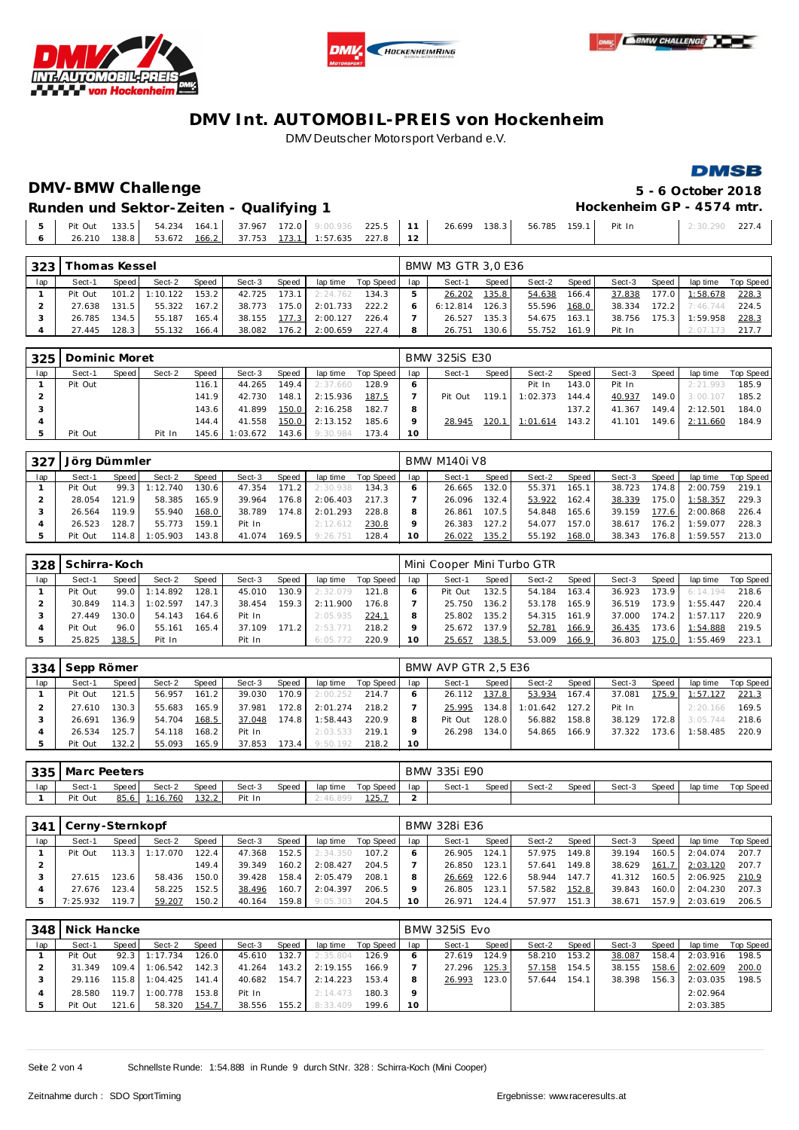





### **DMSB**

# **DMV-BMW Challenge 5 - 6 October 2018**

Runden und Sektor-Zeiten - Qualifying 1 **Bunden and Sektor-Zeiten - Qualifying 1 Hockenheim GP** - 4574 mtr.

|  |  |  | 5   Pit Out 133.5   54.234 164.1   37.967 172.0   9:00.936 225.5   11   26.699 138.3   56.785 159.1   Pit In |  |  |  | $2:30.290$ 227.4 |  |
|--|--|--|--------------------------------------------------------------------------------------------------------------|--|--|--|------------------|--|
|  |  |  | 6 26.210 138.8 53.672 166.2 37.753 173.1 1:57.635 227.8 12                                                   |  |  |  |                  |  |

| 323 | Thomas Kessel |         |          |              |        |       |          |           |     | BMW M3 GTR 3.0 E36 |        |        |       |        |       |          |           |
|-----|---------------|---------|----------|--------------|--------|-------|----------|-----------|-----|--------------------|--------|--------|-------|--------|-------|----------|-----------|
| lap | Sect-1        | Speed I | Sect-2   | <b>Speed</b> | Sect-3 | Speed | lap time | Top Speed | lap | Sect-1             | Speed  | Sect-2 | Speed | Sect-3 | Speed | lap time | Top Speed |
|     | Pit Out       | 101.2   | 1:10.122 | 153.2        | 42.725 | 173.1 | 2:24.762 | 134.3     |     | 26.202             | 135.8  | 54.638 | 166.4 | 37.838 | 177.0 | 1:58.678 | 228.3     |
|     | 27.638        | 131.5   | 55.322   | 167.2        | 38.773 | 175.0 | 2:01.733 | 222.2     |     | 6:12.814           | 126.31 | 55.596 | 168.0 | 38.334 | 172.2 | 7:46.744 | 224.5     |
|     | 26.785        | 134.5   | 55.187   | 165.4        | 38.155 | 177.3 | 2:00.127 | 226.4     |     | 26.527             | 135.31 | 54.675 | 163.1 | 38.756 | 175.3 | 1:59.958 | 228.3     |
|     | 27.445        | 128.3   | 55.132   | 166.4        | 38.082 | 176.2 | 2:00.659 | 227.4     |     | 26.751             | 30.6   | 55.752 | 161.9 | Pit In |       | 2:07.173 | 217.7     |

| 325 | Dominic Moret |       |        |       |          |       |          |           |     | <b>BMW 325iS E30</b> |       |          |       |        |       |          |           |
|-----|---------------|-------|--------|-------|----------|-------|----------|-----------|-----|----------------------|-------|----------|-------|--------|-------|----------|-----------|
| lap | Sect-1        | Speed | Sect-2 | Speed | Sect-3   | Speed | lap time | Top Speed | lap | Sect-1               | Speed | Sect-2   | Speed | Sect-3 | Speed | lap time | Top Speed |
|     | Pit Out       |       |        | 116.1 | 44.265   | 149.4 | 2:37.660 | 128.9     | 6   |                      |       | Pit In   | 143.0 | Pit In |       | 2:21.993 | 185.9     |
|     |               |       |        | 141.9 | 42.730   | 148.1 | 2:15.936 | 187.5     |     | Pit Out              | 119.1 | 1:02.373 | 144.4 | 40.937 | 149.0 | 3:00.107 | 185.2     |
|     |               |       |        | 143.6 | 41.899   | 150.0 | 2:16.258 | 182.7     | 8   |                      |       |          | 137.2 | 41.367 | 149.4 | 2:12.501 | 184.0     |
|     |               |       |        | 144.4 | 41.558   | 150.0 | 2:13.152 | 185.6     |     | 28.945               | 120.  | 1:01.614 | 143.2 | 41.101 | 149.6 | 2:11.660 | 184.9     |
|     | Pit Out       |       | Pit In | 145.6 | 1:03.672 | 143.6 | 9:30.984 | 173.4     | 10  |                      |       |          |       |        |       |          |           |

| 327 | Jörg Dümmler |       |         |       |        |       |          |           |     | BMW M140i V8 |       |        |       |        |       |          |           |
|-----|--------------|-------|---------|-------|--------|-------|----------|-----------|-----|--------------|-------|--------|-------|--------|-------|----------|-----------|
| lap | Sect-1       | Speed | Sect-2  | Speed | Sect-3 | Speed | lap time | Top Speed | lap | Sect-1       | Speed | Sect-2 | Speed | Sect-3 | Speed | lap time | Top Speed |
|     | Pit Out      | 99.3  | :12.740 | 130.6 | 47.354 | 171.2 | 2:30.938 | 134.3     |     | 26.665       | 132.0 | 55.371 | 165.1 | 38.723 | 174.8 | 2:00.759 | 219.1     |
|     | 28.054       | 121.9 | 58.385  | 165.9 | 39.964 | 176.8 | 2:06.403 | 217.3     |     | 26.096       | 132.4 | 53.922 | 162.4 | 38.339 | 175.0 | 1:58.357 | 229.3     |
|     | 26.564       | 119.9 | 55.940  | 168.0 | 38.789 | 174.8 | 2:01.293 | 228.8     |     | 26.861       | 107.5 | 54.848 | 165.6 | 39.159 | 177.6 | 2:00.868 | 226.4     |
|     | 26.523       | 128.7 | 55.773  | 159.1 | Pit In |       | 2:12.612 | 230.8     |     | 26.383       | 127.2 | 54.077 | 157.0 | 38.617 | 176.2 | 1:59.077 | 228.3     |
|     | Pit Out      | 114.8 | :05.903 | 143.8 | 41.074 | 169.5 | 9:26.751 | 128.4     | 10  | 26.022       | 135.2 | 55.192 | 168.0 | 38.343 | 176.8 | 1:59.557 | 213.0     |

| 328 | Schirra-Koch |       |               |       |        |       |          |           |     | Mini Cooper Mini Turbo GTR |       |        |       |        |       |          |           |
|-----|--------------|-------|---------------|-------|--------|-------|----------|-----------|-----|----------------------------|-------|--------|-------|--------|-------|----------|-----------|
| lap | Sect-1       | Speed | Sect-2        | Speed | Sect-3 | Speed | lap time | Top Speed | lap | Sect-1                     | Speed | Sect-2 | Speed | Sect-3 | Speed | lap time | Top Speed |
|     | Pit Out      |       | 99.0 1:14.892 | 128.1 | 45.010 | 130.9 | 2:32.079 | 121.8     |     | Pit Out                    | 132.5 | 54.184 | 163.4 | 36.923 | 173.9 | 6:14.194 | 218.6     |
|     | 30.849       | 114.3 | 1:02.597      | 147.3 | 38.454 | 159.3 | 2:11.900 | 176.8     |     | 25.750                     | 136.2 | 53.178 | 165.9 | 36.519 | 173.9 | 1:55.447 | 220.4     |
|     | 27.449       | 130.0 | 54.143        | 164.6 | Pit In |       | 2:05.935 | 224.1     |     | 25.802                     | 135.2 | 54.315 | 161.9 | 37.000 | 174.2 | 1:57.117 | 220.9     |
|     | Pit Out      | 96.0  | 55.161        | 165.4 | 37.109 | 171.2 | 2:53.771 | 218.2     |     | 25.672                     | 137.9 | 52.781 | 166.9 | 36.435 | 173.6 | 1:54.888 | 219.5     |
|     | 25.825       | 138.5 | Pit In        |       | Pit In |       | 6:05.772 | 220.9     | 10  | 25.657                     | 138.5 | 53.009 | 166.9 | 36.803 | 175.0 | 1:55.469 | 223.1     |

| 334 | Sepp Römer |         |        |       |        |       |          |           |     | BMW AVP GTR 2.5 E36 |         |          |       |        |        |          |           |
|-----|------------|---------|--------|-------|--------|-------|----------|-----------|-----|---------------------|---------|----------|-------|--------|--------|----------|-----------|
| lap | Sect-1     | Speed I | Sect-2 | Speed | Sect-3 | Speed | lap time | Top Speed | lap | Sect-1              | Speed I | Sect-2   | Speed | Sect-3 | Speed  | lap time | Top Speed |
|     | Pit Out    | 121.5   | 56.957 | 161.2 | 39.030 | 170.9 | 2:00.252 | 214.7     |     | 26.112              | 137.8   | 53.934   | 167.4 | 37.081 | 175.9  | 1:57.127 | 221.3     |
|     | 27.610     | 130.3   | 55.683 | 165.9 | 37.981 | 172.8 | 2:01.274 | 218.2     |     | 25.995              | 134.8   | 1:01.642 | 127.2 | Pit In |        | 2:20.166 | 169.5     |
|     | 26.691     | 136.9   | 54.704 | 168.5 | 37.048 | 174.8 | 1:58.443 | 220.9     | 8   | Pit Out             | 128.01  | 56.882   | 158.8 | 38.129 | 172.8  | 3:05.744 | 218.6     |
|     | 26.534     | 125.7   | 54.118 | 168.2 | Pit In |       | 2:03.533 | 219.1     |     | 26.298              | 134.0   | 54.865   | 166.9 | 37.322 | 173.61 | 1:58.485 | 220.9     |
|     | Pit Out    | 132.2   | 55.093 | 165.9 | 37.853 | 173.4 | 9:50.192 | 218.2     | 10  |                     |         |          |       |        |        |          |           |

|     | 335 Marc Peeters |       |          |       |        |       |          |               |     | BMW 335i E90 |       |        |       |        |       |          |           |
|-----|------------------|-------|----------|-------|--------|-------|----------|---------------|-----|--------------|-------|--------|-------|--------|-------|----------|-----------|
| lap | Sect-1           | Speed | Sect-2   | Speed | Sect-3 | Speed | lap time | Top Speed     | lap | Sect-1       | Speed | Sect-2 | Speed | Sect-3 | Speed | lap time | Top Speed |
|     | Pit Out          | 85.6  | 1:16.760 | 132.2 | Pit In |       | 2:46.899 | <u> 125.7</u> |     |              |       |        |       |        |       |          |           |

| 341 | Cerny-Sternkopf |                    |          |       |        |       |          |           |     | BMW 328i E36 |        |        |       |        |       |          |           |
|-----|-----------------|--------------------|----------|-------|--------|-------|----------|-----------|-----|--------------|--------|--------|-------|--------|-------|----------|-----------|
| lap | Sect-1          | Speed I            | Sect-2   | Speed | Sect-3 | Speed | lap time | Top Speed | lap | Sect-1       | Speed  | Sect-2 | Speed | Sect-3 | Speed | lap time | Top Speed |
|     | Pit Out         | $113.3 \text{ J}$  | 1:17.070 | 122.4 | 47.368 | 152.5 | 2:34.350 | 107.2     |     | 26.905       | 124.1  | 57.975 | 149.8 | 39.194 | 160.5 | 2:04.074 | 207.7     |
|     |                 |                    |          | 149.4 | 39.349 | 160.2 | 2:08.427 | 204.5     |     | 26.850       | 123.1  | 57.641 | 149.8 | 38.629 | 161.7 | 2:03.120 | 207.7     |
|     | 27.615          | 123.6              | 58.436   | 150.0 | 39.428 | 158.4 | 2:05.479 | 208.1     |     | 26.669       | 122.61 | 58.944 | 147.7 | 41.312 | 160.5 | 2:06.925 | 210.9     |
|     | 27.676          | 123.4              | 58.225   | 152.5 | 38.496 | 160.7 | 2:04.397 | 206.5     |     | 26.805       | 123.1  | 57.582 | 152.8 | 39.843 | 160.0 | 2:04.230 | 207.3     |
|     | 7:25.932        | 119.7 <sub>1</sub> | 59.207   | 150.2 | 40.164 | 159.8 | 9:05.303 | 204.5     | 10  | 26.971       | 124.4  | 57.977 | 151.3 | 38.671 | 157.9 | 2:03.619 | 206.5     |

| 348 |         | Nick Hancke<br>Speed<br>Speed<br>Sect-2<br>Sect-3<br>Speed<br>lap time<br>126.0<br>92.3<br>1:17.734<br>132.7<br>45.610 |          |       |        |                    |          |           |         | BMW 325iS Evo |       |        |       |        |                    |          |           |
|-----|---------|------------------------------------------------------------------------------------------------------------------------|----------|-------|--------|--------------------|----------|-----------|---------|---------------|-------|--------|-------|--------|--------------------|----------|-----------|
| lap | Sect-1  |                                                                                                                        |          |       |        |                    |          | Top Speed | lap     | Sect-1        | Speed | Sect-2 | Speed | Sect-3 | Speed              | lap time | Top Speed |
|     | Pit Out |                                                                                                                        |          |       |        |                    | 2:35.804 | 126.9     |         | 27.619        | 124.9 | 58.210 | 153.2 | 38.087 | 158.4              | 2:03.916 | 198.5     |
|     | 31.349  | 109.4                                                                                                                  | 1:06.542 | 142.3 | 41.264 | 143.2              | 2:19.155 | 166.9     |         | 27.296        | 125.3 | 57.158 | 154.5 | 38.155 | 158.6              | 2:02.609 | 200.0     |
|     | 29.116  | 115.8                                                                                                                  | 1:04.425 | 141.4 | 40.682 | 154.7 <sub>1</sub> | 2:14.223 | 153.4     |         | 26.993        | 123.0 | 57.644 | 154.1 | 38.398 | 156.3 <sub>1</sub> | 2:03.035 | 198.5     |
|     | 28.580  | 119.7                                                                                                                  | 1:00.778 | 153.8 | Pit In |                    | 2:14.473 | 180.3     | $\circ$ |               |       |        |       |        |                    | 2:02.964 |           |
|     | Pit Out | 121.6                                                                                                                  | 58.320   | 154.7 | 38.556 | 155.2              | 8:33.409 | 199.6     | 10      |               |       |        |       |        |                    | 2:03.385 |           |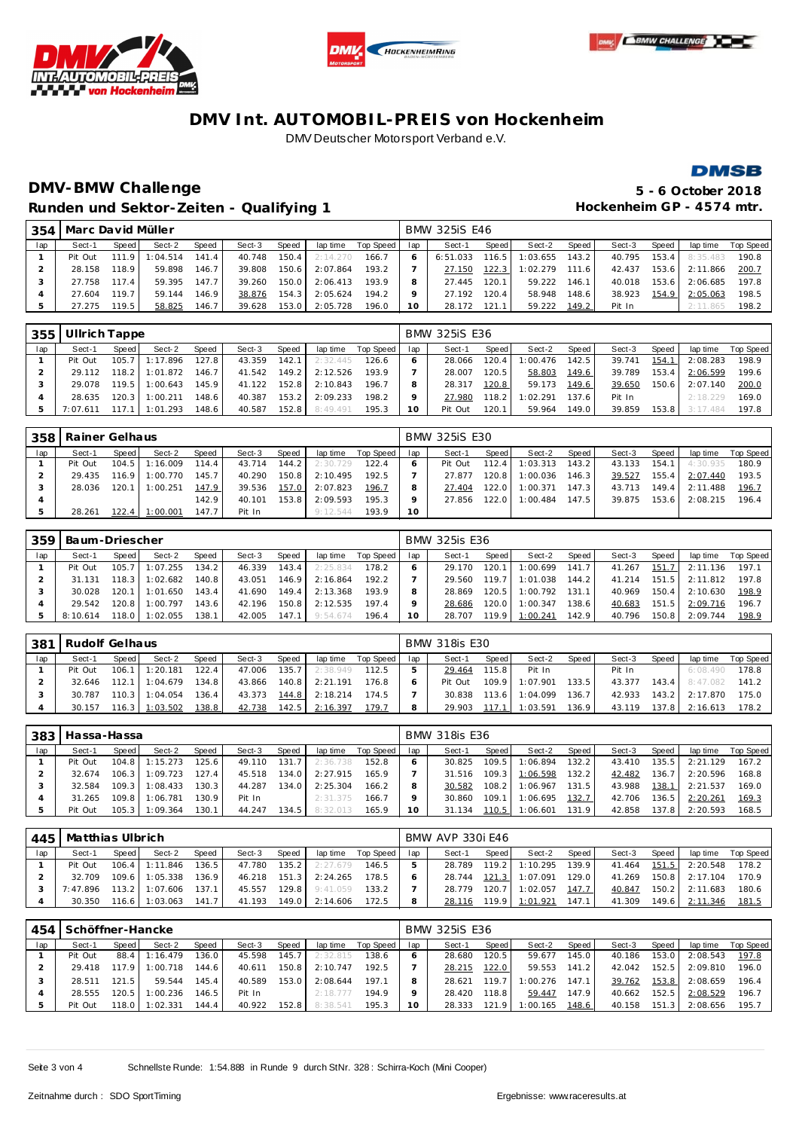







# **DMV-BMW Challenge 5 - 6 October 2018** Runden und Sektor-Zeiten - Qualifying 1 **and Sektor-Zeiten - Qualifying 1 Hockenheim GP** - 4574 mtr.

| 354 | Marc David Müller |         |          |       |        |       |          |           |     | <b>BMW 325iS E46</b> |         |          |       |        |       |                |           |
|-----|-------------------|---------|----------|-------|--------|-------|----------|-----------|-----|----------------------|---------|----------|-------|--------|-------|----------------|-----------|
| lap | Sect-1            | Speed I | Sect-2   | Speed | Sect-3 | Speed | lap time | Top Speed | lap | Sect-1               | Speed I | Sect-2   | Speed | Sect-3 | Speed | lap time       | Top Speed |
|     | Pit Out           | 111.9   | 1:04.514 | 141.4 | 40.748 | 150.4 | 2:14.270 | 166.7     |     | 6:51.033             | 116.5   | 1:03.655 | 143.2 | 40.795 | 153.4 | 8:35.483       | 190.8     |
|     | 28.158            | 118.9   | 59.898   | 146.7 | 39.808 | 150.6 | 2:07.864 | 193.2     |     | 27.150               | 122.3   | 1:02.279 | 111.6 | 42.437 |       | 153.6 2:11.866 | 200.7     |
|     | 27.758            | 117.4   | 59.395   | 147.7 | 39.260 | 150.0 | 2:06.413 | 193.9     |     | 27.445               | 120.1   | 59.222   | 146.1 | 40.018 | 153.6 | 2:06.685       | 197.8     |
|     | 27.604            | 119.7   | 59.144   | 146.9 | 38.876 | 154.3 | 2:05.624 | 194.2     |     | 27.192               | 120.4   | 58.948   | 148.6 | 38.923 | 154.9 | 2:05.063       | 198.5     |
|     | 27.275            | 119.5   | 58.825   | 146.7 | 39.628 | 153.0 | 2:05.728 | 196.0     |     | 28.172               | 121.1   | 59.222   | 149.2 | Pit In |       | 2:11.865       | 198.2     |

| 355 | Ullrich Tappe |         |          |                    |        |       |          |           |     | <b>BMW 325iS E36</b> |       |          |         |        |       |          |           |
|-----|---------------|---------|----------|--------------------|--------|-------|----------|-----------|-----|----------------------|-------|----------|---------|--------|-------|----------|-----------|
| lap | Sect-1        | Speed I | Sect-2   | Speed              | Sect-3 | Speed | lap time | Top Speed | lap | Sect-1               | Speed | Sect-2   | Speed I | Sect-3 | Speed | lap time | Top Speed |
|     | Pit Out       | 105.7   | 1:17.896 | 127.8              | 43.359 | 142.1 | 2:32.445 | 126.6     |     | 28.066               | 120.4 | 1:00.476 | 142.5   | 39.741 | 154.1 | 2:08.283 | 198.9     |
|     | 29.112        | 118.2   | 1:01.872 | 146.7              | 41.542 | 149.2 | 2:12.526 | 193.9     |     | 28.007               | 120.5 | 58.803   | 149.6   | 39.789 | 153.4 | 2:06.599 | 199.6     |
|     | 29.078        | 1195    | 1:00.643 | 145.9              | 41.122 | 152.8 | 2:10.843 | 196.7     |     | 28.317               | 120.8 | 59.173   | 149.6   | 39.650 | 150.6 | 2:07.140 | 200.0     |
|     | 28.635        | 120.3   | 1:00.211 | 148.6              | 40.387 | 153.2 | 2:09.233 | 198.2     |     | 27.980               | 118.2 | 1:02.291 | 137.6   | Pit In |       | 2:18.229 | 169.0     |
|     | 7:07.611      | 117.1   | 1:01.293 | 148.6 <sub>1</sub> | 40.587 | 152.8 | 8:49.491 | 195.3     |     | Pit Out              | 120.1 | 59.964   | 149.0 l | 39.859 | 153.8 | 3.17484  | 197.8     |

| 358 | Rainer Gelhaus |       |          |       |        |       |          |           |     | <b>BMW 325iS E30</b> |        |          |       |        |       |          |           |
|-----|----------------|-------|----------|-------|--------|-------|----------|-----------|-----|----------------------|--------|----------|-------|--------|-------|----------|-----------|
| lap | Sect-1         | Speed | Sect-2   | Speed | Sect-3 | Speed | lap time | Top Speed | lap | Sect-1               | Speed  | Sect-2   | Speed | Sect-3 | Speed | lap time | Top Speed |
|     | Pit Out        | 104.5 | 1:16.009 | 114.4 | 43.714 | 144.2 | 2:30.729 | 122.4     |     | Pit Out              | 112.4  | 1:03.313 | 143.2 | 43.133 | 154.1 | 4:30.935 | 180.9     |
|     | 29.435         | 116.9 | 1:00.770 | 145.7 | 40.290 | 150.8 | 2:10.495 | 192.5     |     | 27.877               | 120.8  | 1:00.036 | 146.3 | 39.527 | 155.4 | 2:07.440 | 193.5     |
|     | 28.036         | 120.1 | 1:00.251 | 147.9 | 39.536 | 157.0 | 2:07.823 | 196.7     |     | 27.404               | 122.01 | 1:00.371 | 147.3 | 43.713 | 149.4 | 2:11.488 | 196.7     |
|     |                |       |          | 142.9 | 40.101 | 153.8 | 2:09.593 | 195.3     |     | 27.856               | 122.0  | 1:00.484 | 147.5 | 39.875 | 153.6 | 2:08.215 | 196.4     |
|     | 28.261         | 122.4 | 1:00.001 | 147.7 | Pit In |       | 9:12.544 | 193.9     | 10  |                      |        |          |       |        |       |          |           |

| 359 | Baum-Driescher |        |          |       |        |       |          |           |     | <b>BMW 325is E36</b> |         |          |        |        |       |          |           |
|-----|----------------|--------|----------|-------|--------|-------|----------|-----------|-----|----------------------|---------|----------|--------|--------|-------|----------|-----------|
| lap | Sect-1         | Speed  | Sect-2   | Speed | Sect-3 | Speed | lap time | Top Speed | lap | Sect-1               | Speed   | Sect-2   | Speed  | Sect-3 | Speed | lap time | Top Speed |
|     | Pit Out        | 105.7  | :07.255  | 134.2 | 46.339 | 143.4 | 2:25.834 | 178.2     |     | 29.170               | 120.1   | 1:00.699 | 141.7  | 41.267 | 151.7 | 2:11.136 | 197.1     |
|     | 31.131         | 118.3  | :02.682  | 140.8 | 43.051 | 146.9 | 2:16.864 | 192.2     |     | 29.560               | 119.71  | 1:01.038 | 144.2  | 41.214 | 151.5 | 2:11.812 | 197.8     |
|     | 30.028         | 120.1  | 1:01.650 | 143.4 | 41.690 | 149.4 | 2:13.368 | 193.9     |     | 28.869               | 120.5   | 1:00.792 | 131.1  | 40.969 | 150.4 | 2:10.630 | 198.9     |
|     | 29.542         | 120.8  | : 00.797 | 143.6 | 42.196 | 150.8 | 2:12.535 | 197.4     |     | 28.686               | 120.0 l | 1:00.347 | 138.6  | 40.683 | 151.5 | 2:09.716 | 196.7     |
|     | 8:10.614       | 118.01 | :02.055  | 138.1 | 42.005 | 147.1 | 9:54.674 | 196.4     |     | 28.707               | 119.91  | 1:00.241 | 142.91 | 40.796 | 150.8 | 2:09.744 | 198.9     |

| - 381 | Rudolf Gelhaus |           |                  |       |        |       |          |           |     | <b>BMW 318is E30</b> |        |          |       |        |       |          |           |
|-------|----------------|-----------|------------------|-------|--------|-------|----------|-----------|-----|----------------------|--------|----------|-------|--------|-------|----------|-----------|
| lap   | Sect-1         | Speed     | Sect-2           | Speed | Sect-3 | Speed | lap time | Top Speed | lap | Sect-1               | Speed  | Sect-2   | Speed | Sect-3 | Speed | lap time | Top Speed |
|       | Pit Out        | $106.1$ 1 | 1:20.181         | 122.4 | 47.006 | 135.7 | 2:38.949 | 112.5     |     | 29.464               | 115.8  | Pit In   |       | Pit In |       | 6:08.490 | 178.8     |
|       | 32.646         |           | $112.1$ 1:04.679 | 134.8 | 43.866 | 140.8 | 2:21.191 | 176.8     |     | Pit Out              | 109.91 | 1:07.901 | 133.5 | 43.377 | 143.4 | 8:47.082 | 141.2     |
|       | 30.787         |           | $110.3$ 1:04.054 | 136.4 | 43.373 | 144.8 | 2:18.214 | 174.5     |     | 30.838               | 113.6  | 1:04.099 | 136.7 | 42.933 | 143.2 | 2:17.870 | 175.0     |
|       | 30.157         |           | $116.3$ 1:03.502 | 138.8 | 42.738 | 142.5 | 2:16.397 | 179.1     |     | 29.903               |        | 1:03.591 | 136.9 | 43.119 | 137.8 | 2:16.613 | 178.2     |

| 383 | Hassa-Hassa |       |                  |       |        |       |          |           |     | <b>BMW 318is E36</b> |       |          |       |        |       |          |           |
|-----|-------------|-------|------------------|-------|--------|-------|----------|-----------|-----|----------------------|-------|----------|-------|--------|-------|----------|-----------|
| lap | Sect-1      | Speed | Sect-2           | Speed | Sect-3 | Speed | lap time | Top Speed | lap | Sect-1               | Speed | Sect-2   | Speed | Sect-3 | Speed | lap time | Top Speed |
|     | Pit Out     |       | $104.8$ 1:15.273 | 125.6 | 49.110 | 131.7 | 2:36.738 | 152.8     |     | 30.825               | 109.5 | 1:06.894 | 132.2 | 43.410 | 135.5 | 2:21.129 | 167.2     |
|     | 32.674      |       | $106.3$ 1:09.723 | 127.4 | 45.518 | 134.0 | 2:27.915 | 165.9     |     | 31.516               | 109.3 | 1:06.598 | 132.2 | 42.482 | 136.7 | 2:20.596 | 168.8     |
|     | 32.584      |       | $109.3$ 1:08.433 | 130.3 | 44.287 | 134.0 | 2:25.304 | 166.2     | 8   | 30.582               | 108.2 | 1:06.967 | 131.5 | 43.988 | 138.1 | 2:21.537 | 169.0     |
|     | 31.265      |       | 109.8 1:06.781   | 130.9 | Pit In |       | 2:31.375 | 166.7     | o   | 30.860               | 109.1 | 1:06.695 | 132.7 | 42.706 | 136.5 | 2:20.261 | 169.3     |
|     | Pit Out     | 105.3 | 1:09.364         | 130.1 | 44.247 | 134.5 | 8:32.013 | 165.9     |     | 31.134               | 110.5 | 1:06.601 | 131.9 | 42.858 | 137.8 | 2:20.593 | 168.5     |

| 445 | Matthias Ulbrich |        |          |       |        |         |          |             |     | BMW AVP 330i E46 |       |          |       |        |       |          |           |
|-----|------------------|--------|----------|-------|--------|---------|----------|-------------|-----|------------------|-------|----------|-------|--------|-------|----------|-----------|
| lap | Sect-1           | Speed  | Sect-2   | Speed | Sect-3 | Speed   | lap time | Top Speed I | lap | Sect-1           | Speed | Sect-2   | Speed | Sect-3 | Speed | lap time | Top Speed |
|     | Pit Out          | 106.4  | 1:11.846 | 136.5 | 47.780 | 135.2 I | 2:27.679 | 146.5       |     | 28.789           | 119.2 | 1:10.295 | 139.9 | 41.464 | 151.5 | 2:20.548 | 178.2     |
|     | 32.709           | 109.6  | 1:05.338 | 136.9 | 46.218 | 151.3   | 2:24.265 | 178.5       |     | 28.744           | 121.3 | 1:07.091 | 129.0 | 41.269 | 150.8 | 2:17.104 | 170.9     |
|     | 7:47.896         | 113.2  | 1:07.606 | 137.1 | 45.557 | 129.8 I | 9:41.059 | 133.2       |     | 28.779           | 120.7 | 1:02.057 | 147.7 | 40.847 | 150.2 | 2:11.683 | 180.6     |
|     | 30.350           | 116.61 | : 03.063 | 141.7 | 41.193 | 149.0   | 2:14.606 | 172.5       |     | 28.116           | 119.9 | 1:01.921 | 147.1 | 41.309 | 149.6 | 2:11.346 | 181.5     |

|     | 454   Schöffner-Hancke |       |          |       |        |                    |          |           |     | <b>BMW 325iS E36</b> |         |          |         |        |       |          |           |  |  |  |
|-----|------------------------|-------|----------|-------|--------|--------------------|----------|-----------|-----|----------------------|---------|----------|---------|--------|-------|----------|-----------|--|--|--|
| lap | Sect-1                 | Speed | Sect-2   | Speed | Sect-3 | Speed              | lap time | Top Speed | lap | Sect-1               | Speed ! | Sect-2   | Speed   | Sect-3 | Speed | lap time | Top Speed |  |  |  |
|     | Pit Out                | 88.4  | 1:16.479 | 136.0 | 45.598 | 145.7 <sub>1</sub> | 2:32.815 | 138.6     |     | 28.680               | 120.5   | 59.677   | 145.O I | 40.186 | 153.0 | 2:08.543 | 197.8     |  |  |  |
|     | 29.418                 | 179   | 1:00.718 | 144.6 | 40.611 | 150.8 I            | 2:10.747 | 192.5     |     | 28.215               | 122.0   | 59.553   | 141.2   | 42.042 | 152.5 | 2:09.810 | 196.0     |  |  |  |
|     | 28.511                 | 121.5 | 59.544   | 145.4 | 40.589 | 153.0              | 2:08.644 | 197.1     |     | 28.621               | 119.7   | 1:00.276 | 147 1   | 39.762 | 153.8 | 2:08.659 | 196.4     |  |  |  |
|     | 28.555                 | 120.5 | 1:00.236 | 146.5 | Pit In |                    | 2:18.777 | 194.9     |     | 28.420               | 118.8   | 59.447   | 147.9   | 40.662 | 152.5 | 2:08.529 | 196.7     |  |  |  |
|     | Pit Out                | 18.0  | 1:02.331 | 144.4 | 40.922 | 152.8              | 8:38.541 | 195.3     | 10  | 28.333               | 121.9   | 1:00.165 | 148.6   | 40.158 | 151.3 | 2:08.656 | 195.7     |  |  |  |